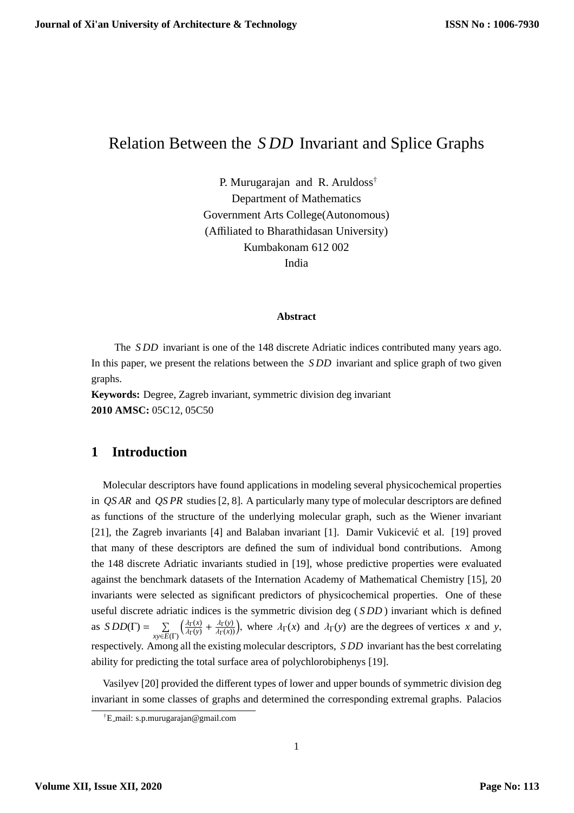# Relation Between the *S DD* Invariant and Splice Graphs

P. Murugarajan and R. Aruldoss† Department of Mathematics Government Arts College(Autonomous) (Affiliated to Bharathidasan University) Kumbakonam 612 002 India

#### **Abstract**

The *S DD* invariant is one of the 148 discrete Adriatic indices contributed many years ago. In this paper, we present the relations between the *S DD* invariant and splice graph of two given graphs.

**Keywords:** Degree, Zagreb invariant, symmetric division deg invariant **2010 AMSC:** 05C12, 05C50

# **1 Introduction**

Molecular descriptors have found applications in modeling several physicochemical properties in *QS AR* and *QS PR* studies [2, 8]. A particularly many type of molecular descriptors are defined as functions of the structure of the underlying molecular graph, such as the Wiener invariant [21], the Zagreb invariants [4] and Balaban invariant [1]. Damir Vukicević et al. [19] proved that many of these descriptors are defined the sum of individual bond contributions. Among the 148 discrete Adriatic invariants studied in [19], whose predictive properties were evaluated against the benchmark datasets of the Internation Academy of Mathematical Chemistry [15], 20 invariants were selected as significant predictors of physicochemical properties. One of these useful discrete adriatic indices is the symmetric division deg ( *S DD* ) invariant which is defined as  $SDD(\Gamma) = \sum_{xy \in E(\Gamma)}$  $\int \frac{\lambda \Gamma(x)}{x}$  $\frac{\partial \Gamma(x)}{\partial \Gamma(y)} + \frac{\partial \Gamma(y)}{\partial \Gamma(x)}$ , where  $\partial \Gamma(x)$  and  $\partial \Gamma(y)$  are the degrees of vertices *x* and *y*, respectively. Among all the existing molecular descriptors, *S DD* invariant has the best correlating ability for predicting the total surface area of polychlorobiphenys [19].

Vasilyev [20] provided the different types of lower and upper bounds of symmetric division deg invariant in some classes of graphs and determined the corresponding extremal graphs. Palacios

<sup>†</sup>E mail: s.p.murugarajan@gmail.com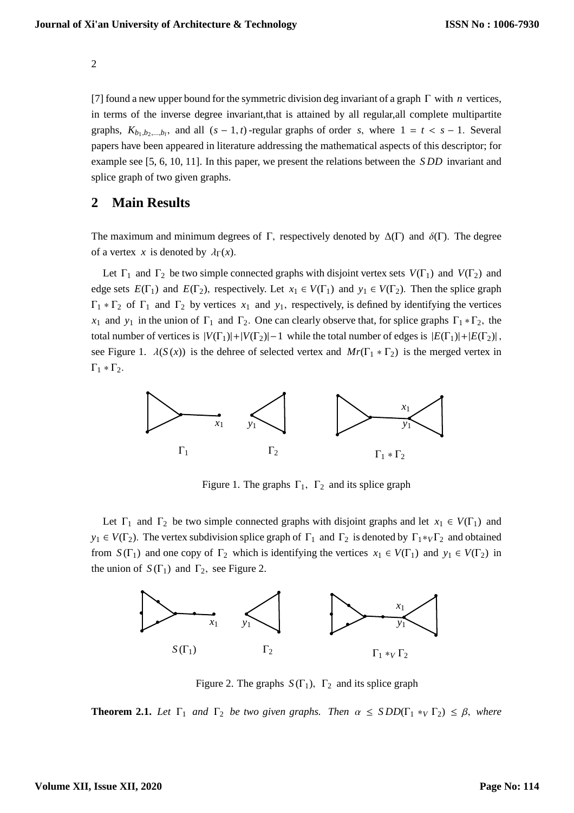[7] found a new upper bound for the symmetric division deg invariant of a graph Γ with *n* vertices, in terms of the inverse degree invariant,that is attained by all regular,all complete multipartite graphs,  $K_{b_1,b_2,...,b_l}$ , and all  $(s-1,t)$ -regular graphs of order *s*, where  $1 = t < s - 1$ . Several papers have been appeared in literature addressing the mathematical aspects of this descriptor; for example see [5, 6, 10, 11]. In this paper, we present the relations between the *S DD* invariant and splice graph of two given graphs.

### **2 Main Results**

The maximum and minimum degrees of Γ, respectively denoted by  $\Delta(\Gamma)$  and  $\delta(\Gamma)$ . The degree of a vertex *x* is denoted by  $\lambda_{\Gamma}(x)$ .

Let  $\Gamma_1$  and  $\Gamma_2$  be two simple connected graphs with disjoint vertex sets  $V(\Gamma_1)$  and  $V(\Gamma_2)$  and edge sets  $E(\Gamma_1)$  and  $E(\Gamma_2)$ , respectively. Let  $x_1 \in V(\Gamma_1)$  and  $y_1 \in V(\Gamma_2)$ . Then the splice graph  $\Gamma_1 * \Gamma_2$  of  $\Gamma_1$  and  $\Gamma_2$  by vertices  $x_1$  and  $y_1$ , respectively, is defined by identifying the vertices  $x_1$  and  $y_1$  in the union of  $\Gamma_1$  and  $\Gamma_2$ . One can clearly observe that, for splice graphs  $\Gamma_1 * \Gamma_2$ , the total number of vertices is  $|V(\Gamma_1)|+|V(\Gamma_2)|-1$  while the total number of edges is  $|E(\Gamma_1)|+|E(\Gamma_2)|$ , see Figure 1.  $\lambda(S(x))$  is the dehree of selected vertex and  $Mr(\Gamma_1 * \Gamma_2)$  is the merged vertex in  $Γ_1 * Γ_2$ .



Figure 1. The graphs  $\Gamma_1$ ,  $\Gamma_2$  and its splice graph

Let  $\Gamma_1$  and  $\Gamma_2$  be two simple connected graphs with disjoint graphs and let  $x_1 \in V(\Gamma_1)$  and  $y_1 \in V(\Gamma_2)$ . The vertex subdivision splice graph of  $\Gamma_1$  and  $\Gamma_2$  is denoted by  $\Gamma_1 *_{V} \Gamma_2$  and obtained from  $S(\Gamma_1)$  and one copy of  $\Gamma_2$  which is identifying the vertices  $x_1 \in V(\Gamma_1)$  and  $y_1 \in V(\Gamma_2)$  in the union of  $S(\Gamma_1)$  and  $\Gamma_2$ , see Figure 2.



Figure 2. The graphs  $S(\Gamma_1)$ ,  $\Gamma_2$  and its splice graph

**Theorem 2.1.** Let  $\Gamma_1$  and  $\Gamma_2$  be two given graphs. Then  $\alpha \leq SDD(\Gamma_1 *_{V} \Gamma_2) \leq \beta$ , where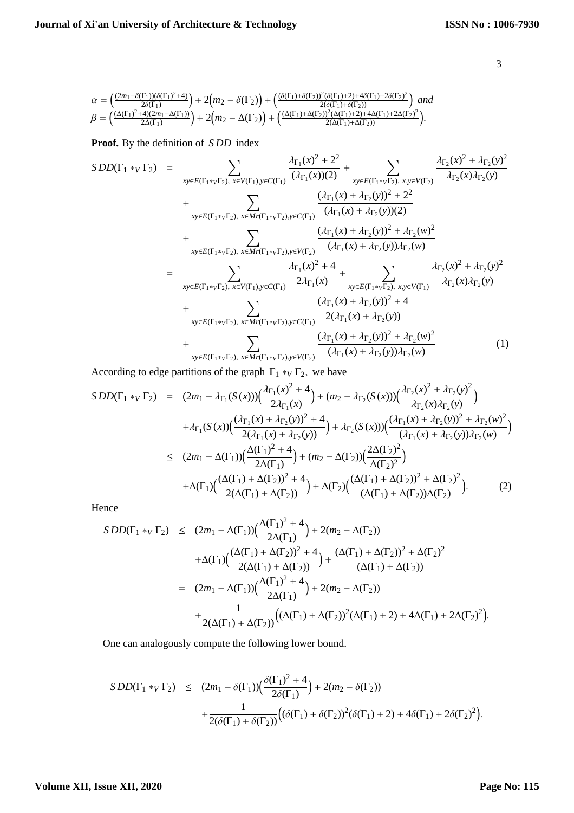$$
\begin{array}{l} \alpha=\left(\frac{(2m_1-\delta(\Gamma_1))(\delta(\Gamma_1)^2+4)}{2\delta(\Gamma_1)}\right)+2\Big(m_2-\delta(\Gamma_2)\Big)+\left(\frac{(\delta(\Gamma_1)+\delta(\Gamma_2))^2(\delta(\Gamma_1)+2)+(\delta(\Gamma_2))^2}{2(\delta(\Gamma_1)+\delta(\Gamma_2))}\right)\ and\\ \beta=\left(\frac{(\Delta(\Gamma_1)^2+4)(2m_1-\Delta(\Gamma_1))}{2\Delta(\Gamma_1)}\right)+2\Big(m_2-\Delta(\Gamma_2)\Big)+\left(\frac{(\Delta(\Gamma_1)+\Delta(\Gamma_2))^2(\Delta(\Gamma_1)+2)+4\Delta(\Gamma_1)+2\Delta(\Gamma_2)^2}{2(\Delta(\Gamma_1)+\Delta(\Gamma_2))}\right). \end{array}
$$

**Proof.** By the definition of *S DD* index

$$
SDD(\Gamma_{1} *_{V} \Gamma_{2}) = \sum_{xy \in E(\Gamma_{1} *_{V}\Gamma_{2}), x \in V(\Gamma_{1}), y \in C(\Gamma_{1})} \frac{\lambda_{\Gamma_{1}}(x)^{2} + 2^{2}}{(\lambda_{\Gamma_{1}}(x))(2)} + \sum_{xy \in E(\Gamma_{1} *_{V}\Gamma_{2}), x,y \in V(\Gamma_{2})} \frac{\lambda_{\Gamma_{2}}(x)^{2} + \lambda_{\Gamma_{2}}(y)^{2}}{\lambda_{\Gamma_{2}}(x)\lambda_{\Gamma_{2}}(y)} + \sum_{xy \in E(\Gamma_{1} *_{V}\Gamma_{2}), x \in Mr(\Gamma_{1} *_{V}\Gamma_{2}), y \in C(\Gamma_{1})} \frac{(\lambda_{\Gamma_{1}}(x) + \lambda_{\Gamma_{2}}(y))^{2} + 2^{2}}{(\lambda_{\Gamma_{1}}(x) + \lambda_{\Gamma_{2}}(y))(2)} + \sum_{xy \in E(\Gamma_{1} *_{V}\Gamma_{2}), x \in Mr(\Gamma_{1} *_{V}\Gamma_{2}), y \in V(\Gamma_{2})} \frac{(\lambda_{\Gamma_{1}}(x) + \lambda_{\Gamma_{2}}(y))^{2} + \lambda_{\Gamma_{2}}(w)^{2}}{(\lambda_{\Gamma_{1}}(x) + \lambda_{\Gamma_{2}}(y))\lambda_{\Gamma_{2}}(w)} + \sum_{xy \in E(\Gamma_{1} *_{V}\Gamma_{2}), x \in V(\Gamma_{1}), y \in C(\Gamma_{1})} \frac{\lambda_{\Gamma_{1}}(x)^{2} + 4}{2\lambda_{\Gamma_{1}}(x)} + \sum_{xy \in E(\Gamma_{1} *_{V}\Gamma_{2}), x \in V(\Gamma_{1})} \frac{\lambda_{\Gamma_{2}}(x)^{2} + \lambda_{\Gamma_{2}}(y)^{2}}{\lambda_{\Gamma_{2}}(x)\lambda_{\Gamma_{2}}(y)} + \sum_{xy \in E(\Gamma_{1} *_{V}\Gamma_{2}), x \in Mr(\Gamma_{1} *_{V}\Gamma_{2}), y \in C(\Gamma_{1})} \frac{(\lambda_{\Gamma_{1}}(x) + \lambda_{\Gamma_{2}}(y))^{2} + 4}{2(\lambda_{\Gamma_{1}}(x) + \lambda_{\Gamma_{2}}(y))^{2} + \lambda_{\Gamma_{2}}(w)^{2}} + \sum_{xy \in E(\Gamma_{1} *_{V}\Gamma_{2}), x \in Mr(\Gamma_{1} *_{V}\Gamma_{2}), y \in V(\Gamma_{2})} \frac{(\lambda_{\Gamma_{1}}(x) + \lambda_{\Gamma_{
$$

According to edge partitions of the graph  $\Gamma_1 *_{V} \Gamma_2$ , we have

$$
SDD(\Gamma_1 *_{V} \Gamma_2) = (2m_1 - \lambda_{\Gamma_1}(S(x))) \left(\frac{\lambda_{\Gamma_1}(x)^2 + 4}{2\lambda_{\Gamma_1}(x)}\right) + (m_2 - \lambda_{\Gamma_2}(S(x))) \left(\frac{\lambda_{\Gamma_2}(x)^2 + \lambda_{\Gamma_2}(y)^2}{\lambda_{\Gamma_2}(x)\lambda_{\Gamma_2}(y)}\right) + \lambda_{\Gamma_1}(S(x)) \left(\frac{(\lambda_{\Gamma_1}(x) + \lambda_{\Gamma_2}(y))^2 + 4}{2(\lambda_{\Gamma_1}(x) + \lambda_{\Gamma_2}(y))}\right) + \lambda_{\Gamma_2}(S(x))) \left(\frac{(\lambda_{\Gamma_1}(x) + \lambda_{\Gamma_2}(y))^2 + \lambda_{\Gamma_2}(w)^2}{(\lambda_{\Gamma_1}(x) + \lambda_{\Gamma_2}(y))\lambda_{\Gamma_2}(w)}\right) 
$$
\leq (2m_1 - \Delta(\Gamma_1)) \left(\frac{\Delta(\Gamma_1)^2 + 4}{2\Delta(\Gamma_1)}\right) + (m_2 - \Delta(\Gamma_2)) \left(\frac{2\Delta(\Gamma_2)^2}{\Delta(\Gamma_2)^2}\right) + \Delta(\Gamma_1) \left(\frac{(\Delta(\Gamma_1) + \Delta(\Gamma_2))^2 + 4}{2(\Delta(\Gamma_1) + \Delta(\Gamma_2))}\right) + \Delta(\Gamma_2) \left(\frac{(\Delta(\Gamma_1) + \Delta(\Gamma_2))^2 + \Delta(\Gamma_2)^2}{(\Delta(\Gamma_1) + \Delta(\Gamma_2))\Delta(\Gamma_2)}\right).
$$
 (2)
$$

Hence

$$
SDD(\Gamma_1 *_{V} \Gamma_2) \leq (2m_1 - \Delta(\Gamma_1)) \Big( \frac{\Delta(\Gamma_1)^2 + 4}{2\Delta(\Gamma_1)} \Big) + 2(m_2 - \Delta(\Gamma_2))
$$
  
+
$$
\Delta(\Gamma_1) \Big( \frac{(\Delta(\Gamma_1) + \Delta(\Gamma_2))^2 + 4}{2(\Delta(\Gamma_1) + \Delta(\Gamma_2))} \Big) + \frac{(\Delta(\Gamma_1) + \Delta(\Gamma_2))^2 + \Delta(\Gamma_2)^2}{(\Delta(\Gamma_1) + \Delta(\Gamma_2))}
$$
  
= 
$$
(2m_1 - \Delta(\Gamma_1)) \Big( \frac{\Delta(\Gamma_1)^2 + 4}{2\Delta(\Gamma_1)} \Big) + 2(m_2 - \Delta(\Gamma_2))
$$
  
+ 
$$
\frac{1}{2(\Delta(\Gamma_1) + \Delta(\Gamma_2))} \Big( (\Delta(\Gamma_1) + \Delta(\Gamma_2))^2 (\Delta(\Gamma_1) + 2) + 4\Delta(\Gamma_1) + 2\Delta(\Gamma_2)^2 \Big).
$$

One can analogously compute the following lower bound.

$$
SDD(\Gamma_1 *_{V} \Gamma_2) \le (2m_1 - \delta(\Gamma_1)) \Big( \frac{\delta(\Gamma_1)^2 + 4}{2\delta(\Gamma_1)} \Big) + 2(m_2 - \delta(\Gamma_2)) + \frac{1}{2(\delta(\Gamma_1) + \delta(\Gamma_2))} \Big( (\delta(\Gamma_1) + \delta(\Gamma_2))^2 (\delta(\Gamma_1) + 2) + 4\delta(\Gamma_1) + 2\delta(\Gamma_2)^2 \Big).
$$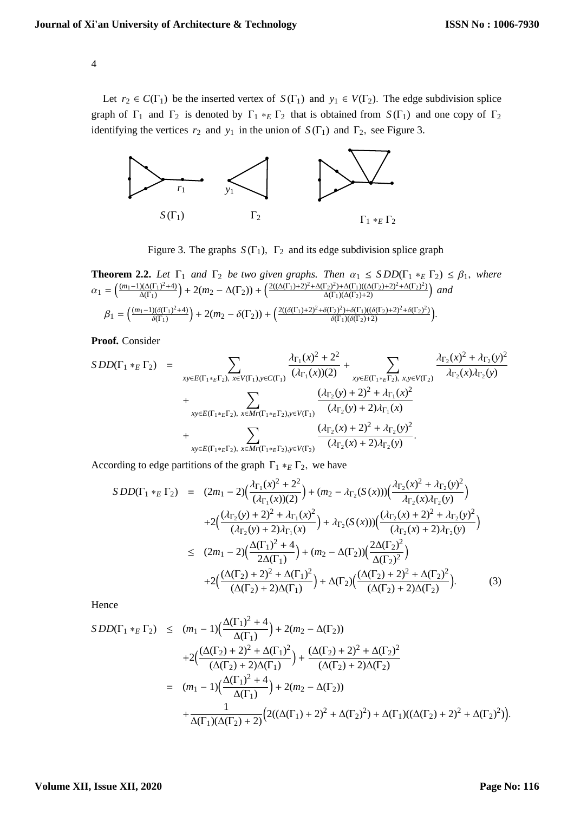Let  $r_2 \in C(\Gamma_1)$  be the inserted vertex of  $S(\Gamma_1)$  and  $y_1 \in V(\Gamma_2)$ . The edge subdivision splice graph of  $\Gamma_1$  and  $\Gamma_2$  is denoted by  $\Gamma_1 *_{E} \Gamma_2$  that is obtained from  $S(\Gamma_1)$  and one copy of  $\Gamma_2$ identifying the vertices  $r_2$  and  $y_1$  in the union of  $S(\Gamma_1)$  and  $\Gamma_2$ , see Figure 3.



Figure 3. The graphs  $S(\Gamma_1)$ ,  $\Gamma_2$  and its edge subdivision splice graph

**Theorem 2.2.** Let 
$$
\Gamma_1
$$
 and  $\Gamma_2$  be two given graphs. Then  $\alpha_1 \leq SDD(\Gamma_1 *_{E} \Gamma_2) \leq \beta_1$ , where  $\alpha_1 = \left(\frac{(m_1 - 1)(\Delta(\Gamma_1)^2 + 4)}{\Delta(\Gamma_1)}\right) + 2(m_2 - \Delta(\Gamma_2)) + \left(\frac{2((\Delta(\Gamma_1) + 2)^2 + \Delta(\Gamma_2)^2) + \Delta(\Gamma_1)((\Delta(\Gamma_2) + 2)^2 + \Delta(\Gamma_2)^2)}{\Delta(\Gamma_1)(\Delta(\Gamma_2) + 2)}\right)$  and  $\beta_1 = \left(\frac{(m_1 - 1)(\delta(\Gamma_1)^2 + 4)}{\delta(\Gamma_1)}\right) + 2(m_2 - \delta(\Gamma_2)) + \left(\frac{2((\delta(\Gamma_1) + 2)^2 + \delta(\Gamma_2)^2) + \delta(\Gamma_1)((\delta(\Gamma_2) + 2)^2 + \delta(\Gamma_2)^2)}{\delta(\Gamma_1)(\delta(\Gamma_2) + 2)}\right).$ 

**Proof.** Consider

$$
SDD(\Gamma_1 *_{E} \Gamma_2) = \sum_{xy \in E(\Gamma_1 *_{E} \Gamma_2), x \in V(\Gamma_1), y \in C(\Gamma_1)} \frac{\lambda_{\Gamma_1}(x)^2 + 2^2}{(\lambda_{\Gamma_1}(x))(2)} + \sum_{xy \in E(\Gamma_1 *_{E} \Gamma_2), x, y \in V(\Gamma_2)} \frac{\lambda_{\Gamma_2}(x)^2 + \lambda_{\Gamma_2}(y)^2}{\lambda_{\Gamma_2}(x)\lambda_{\Gamma_2}(y)} + \sum_{xy \in E(\Gamma_1 *_{E} \Gamma_2), x \in Mr(\Gamma_1 *_{E} \Gamma_2), y \in V(\Gamma_1)} \frac{(\lambda_{\Gamma_2}(y) + 2)^2 + \lambda_{\Gamma_1}(x)^2}{(\lambda_{\Gamma_2}(y) + 2)\lambda_{\Gamma_1}(x)} + \sum_{xy \in E(\Gamma_1 *_{E} \Gamma_2), x \in Mr(\Gamma_1 *_{E} \Gamma_2), y \in V(\Gamma_2)} \frac{(\lambda_{\Gamma_2}(x) + 2)^2 + \lambda_{\Gamma_2}(y)^2}{(\lambda_{\Gamma_2}(x) + 2)\lambda_{\Gamma_2}(y)}.
$$

According to edge partitions of the graph  $\Gamma_1 *_{E} \Gamma_2$ , we have

$$
SDD(\Gamma_1 *_{E} \Gamma_2) = (2m_1 - 2) \Big( \frac{\lambda_{\Gamma_1}(x)^2 + 2^2}{(\lambda_{\Gamma_1}(x))(2)} \Big) + (m_2 - \lambda_{\Gamma_2}(S(x)) \Big( \frac{\lambda_{\Gamma_2}(x)^2 + \lambda_{\Gamma_2}(y)^2}{\lambda_{\Gamma_2}(x)\lambda_{\Gamma_2}(y)} \Big) + 2 \Big( \frac{(\lambda_{\Gamma_2}(y) + 2)^2 + \lambda_{\Gamma_1}(x)^2}{(\lambda_{\Gamma_2}(y) + 2)\lambda_{\Gamma_1}(x)} \Big) + \lambda_{\Gamma_2}(S(x)) \Big( \frac{(\lambda_{\Gamma_2}(x) + 2)^2 + \lambda_{\Gamma_2}(y)^2}{(\lambda_{\Gamma_2}(x) + 2)\lambda_{\Gamma_2}(y)} \Big) \leq (2m_1 - 2) \Big( \frac{\Delta(\Gamma_1)^2 + 4}{2\Delta(\Gamma_1)} \Big) + (m_2 - \Delta(\Gamma_2)) \Big( \frac{2\Delta(\Gamma_2)^2}{\Delta(\Gamma_2)^2} \Big) + 2 \Big( \frac{(\Delta(\Gamma_2) + 2)^2 + \Delta(\Gamma_1)^2}{(\Delta(\Gamma_2) + 2)\Delta(\Gamma_1)} \Big) + \Delta(\Gamma_2) \Big( \frac{(\Delta(\Gamma_2) + 2)^2 + \Delta(\Gamma_2)^2}{(\Delta(\Gamma_2) + 2)\Delta(\Gamma_2)} \Big).
$$
 (3)

Hence

$$
SDD(\Gamma_1 *_{E} \Gamma_2) \leq (m_1 - 1) \Big( \frac{\Delta(\Gamma_1)^2 + 4}{\Delta(\Gamma_1)} \Big) + 2(m_2 - \Delta(\Gamma_2))
$$
  
+2\Big( \frac{(\Delta(\Gamma\_2) + 2)^2 + \Delta(\Gamma\_1)^2}{(\Delta(\Gamma\_2) + 2)\Delta(\Gamma\_1)} \Big) + \frac{(\Delta(\Gamma\_2) + 2)^2 + \Delta(\Gamma\_2)^2}{(\Delta(\Gamma\_2) + 2)\Delta(\Gamma\_2)}  
= (m\_1 - 1) \Big( \frac{\Delta(\Gamma\_1)^2 + 4}{\Delta(\Gamma\_1)} \Big) + 2(m\_2 - \Delta(\Gamma\_2))  
+ \frac{1}{\Delta(\Gamma\_1)(\Delta(\Gamma\_2) + 2)} \Big( 2((\Delta(\Gamma\_1) + 2)^2 + \Delta(\Gamma\_2)^2) + \Delta(\Gamma\_1)((\Delta(\Gamma\_2) + 2)^2 + \Delta(\Gamma\_2)^2) \Big).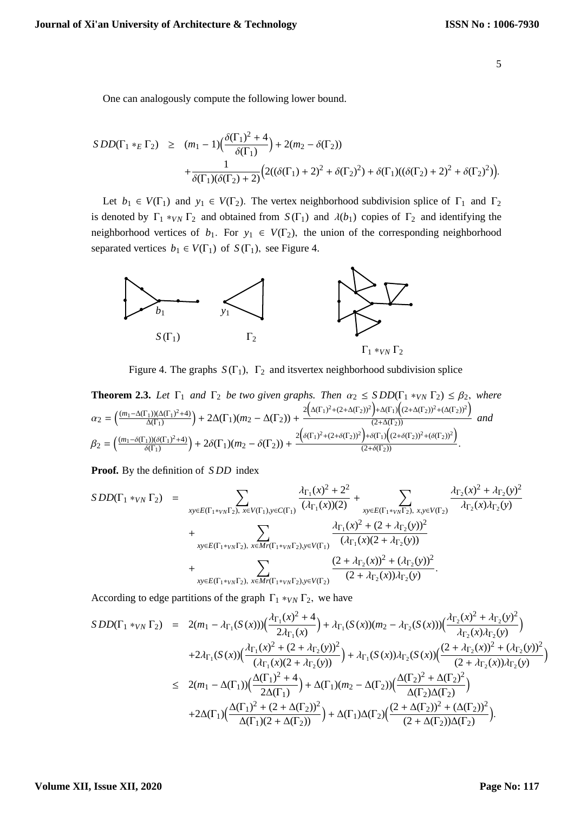One can analogously compute the following lower bound.

$$
SDD(\Gamma_1 *_{E} \Gamma_2) \geq (m_1 - 1) \Big( \frac{\delta(\Gamma_1)^2 + 4}{\delta(\Gamma_1)} \Big) + 2(m_2 - \delta(\Gamma_2)) + \frac{1}{\delta(\Gamma_1)(\delta(\Gamma_2) + 2)} \Big( 2((\delta(\Gamma_1) + 2)^2 + \delta(\Gamma_2)^2) + \delta(\Gamma_1)((\delta(\Gamma_2) + 2)^2 + \delta(\Gamma_2)^2) \Big).
$$

Let  $b_1 \in V(\Gamma_1)$  and  $y_1 \in V(\Gamma_2)$ . The vertex neighborhood subdivision splice of  $\Gamma_1$  and  $\Gamma_2$ is denoted by  $\Gamma_1 *_{VN} \Gamma_2$  and obtained from  $S(\Gamma_1)$  and  $\lambda(b_1)$  copies of  $\Gamma_2$  and identifying the neighborhood vertices of  $b_1$ . For  $y_1 \in V(\Gamma_2)$ , the union of the corresponding neighborhood separated vertices  $b_1 \in V(\Gamma_1)$  of  $S(\Gamma_1)$ , see Figure 4.



Γ<sup>1</sup> ∗*VN* Γ<sup>2</sup>

Figure 4. The graphs  $S(\Gamma_1)$ ,  $\Gamma_2$  and its vertex neighborhood subdivision splice

**Theorem 2.3.** Let 
$$
\Gamma_1
$$
 and  $\Gamma_2$  be two given graphs. Then  $\alpha_2 \leq SDD(\Gamma_1 *_{VN} \Gamma_2) \leq \beta_2$ , where  
\n
$$
\alpha_2 = \left(\frac{(m_1 - \Delta(\Gamma_1))(\Delta(\Gamma_1)^2 + 4)}{\Delta(\Gamma_1)}\right) + 2\Delta(\Gamma_1)(m_2 - \Delta(\Gamma_2)) + \frac{2\left(\Delta(\Gamma_1)^2 + (2 + \Delta(\Gamma_2))^2\right) + \Delta(\Gamma_1)\left((2 + \Delta(\Gamma_2))^2 + (\Delta(\Gamma_2))^2\right)}{(2 + \Delta(\Gamma_2))}\text{ and}
$$
\n
$$
\beta_2 = \left(\frac{(m_1 - \delta(\Gamma_1))(\delta(\Gamma_1)^2 + 4)}{\delta(\Gamma_1)}\right) + 2\delta(\Gamma_1)(m_2 - \delta(\Gamma_2)) + \frac{2\left(\delta(\Gamma_1)^2 + (2 + \delta(\Gamma_2))^2\right) + \delta(\Gamma_1)\left((2 + \delta(\Gamma_2))^2 + (\delta(\Gamma_2))^2\right)}{(2 + \delta(\Gamma_2))}.
$$

**Proof.** By the definition of *S DD* index

$$
SDD(\Gamma_1 *_{VN} \Gamma_2) = \sum_{xy \in E(\Gamma_1 *_{VN} \Gamma_2), x \in V(\Gamma_1), y \in C(\Gamma_1)} \frac{\lambda_{\Gamma_1}(x)^2 + 2^2}{(\lambda_{\Gamma_1}(x))(2)} + \sum_{xy \in E(\Gamma_1 *_{VN} \Gamma_2), x, y \in V(\Gamma_2)} \frac{\lambda_{\Gamma_2}(x)^2 + \lambda_{\Gamma_2}(y)^2}{\lambda_{\Gamma_2}(x)\lambda_{\Gamma_2}(y)} + \sum_{xy \in E(\Gamma_1 *_{VN} \Gamma_2), y \in V(\Gamma_1)} \frac{\lambda_{\Gamma_1}(x)^2 + (2 + \lambda_{\Gamma_2}(y))^2}{(\lambda_{\Gamma_1}(x)(2 + \lambda_{\Gamma_2}(y)))} + \sum_{xy \in E(\Gamma_1 *_{VN} \Gamma_2), x \in Mr(\Gamma_1 *_{VN} \Gamma_2), y \in V(\Gamma_2)} \frac{(2 + \lambda_{\Gamma_2}(x))^2 + (\lambda_{\Gamma_2}(y))^2}{(2 + \lambda_{\Gamma_2}(x))\lambda_{\Gamma_2}(y)}.
$$

According to edge partitions of the graph  $\Gamma_1 *_{VN} \Gamma_2$ , we have

$$
SDD(\Gamma_1 *_{VN} \Gamma_2) = 2(m_1 - \lambda_{\Gamma_1}(S(x))) \Big( \frac{\lambda_{\Gamma_1}(x)^2 + 4}{2\lambda_{\Gamma_1}(x)} \Big) + \lambda_{\Gamma_1}(S(x))(m_2 - \lambda_{\Gamma_2}(S(x))) \Big( \frac{\lambda_{\Gamma_2}(x)^2 + \lambda_{\Gamma_2}(y)^2}{\lambda_{\Gamma_2}(x)\lambda_{\Gamma_2}(y)} \Big)
$$
  
+2 $\lambda_{\Gamma_1}(S(x)) \Big( \frac{\lambda_{\Gamma_1}(x)^2 + (2 + \lambda_{\Gamma_2}(y))^2}{(\lambda_{\Gamma_1}(x)(2 + \lambda_{\Gamma_2}(y)))} \Big) + \lambda_{\Gamma_1}(S(x)) \lambda_{\Gamma_2}(S(x)) \Big( \frac{(2 + \lambda_{\Gamma_2}(x))^2 + (\lambda_{\Gamma_2}(y))^2}{(2 + \lambda_{\Gamma_2}(x))\lambda_{\Gamma_2}(y)} \Big)$   

$$
\leq 2(m_1 - \Delta(\Gamma_1)) \Big( \frac{\Delta(\Gamma_1)^2 + 4}{2\Delta(\Gamma_1)} \Big) + \Delta(\Gamma_1)(m_2 - \Delta(\Gamma_2)) \Big( \frac{\Delta(\Gamma_2)^2 + \Delta(\Gamma_2)^2}{\Delta(\Gamma_2)\Delta(\Gamma_2)} \Big)
$$
  
+2 $\Delta(\Gamma_1) \Big( \frac{\Delta(\Gamma_1)^2 + (2 + \Delta(\Gamma_2))^2}{\Delta(\Gamma_1)(2 + \Delta(\Gamma_2))} \Big) + \Delta(\Gamma_1) \Delta(\Gamma_2) \Big( \frac{(2 + \Delta(\Gamma_2))^2 + (\Delta(\Gamma_2))^2}{(2 + \Delta(\Gamma_2))\Delta(\Gamma_2)} \Big).$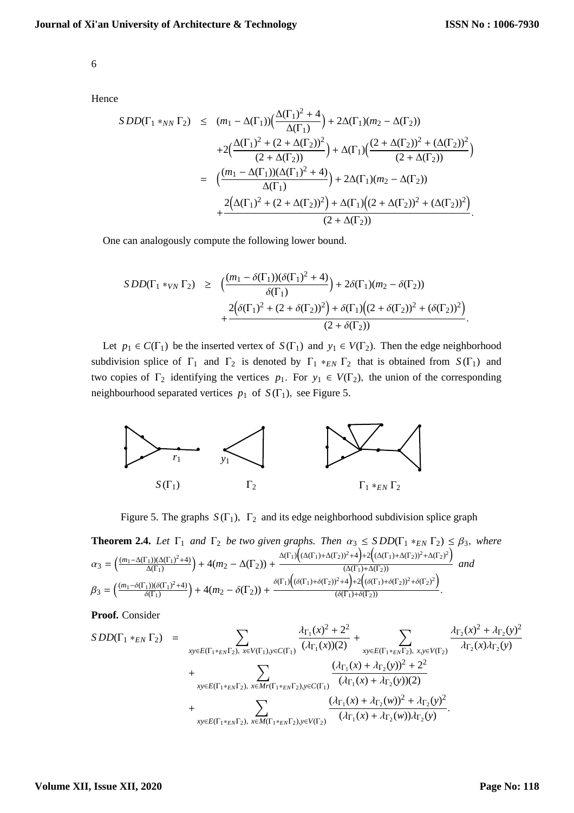Hence

$$
SDD(\Gamma_1 *_{NN} \Gamma_2) \leq (m_1 - \Delta(\Gamma_1)) \Big( \frac{\Delta(\Gamma_1)^2 + 4}{\Delta(\Gamma_1)} \Big) + 2\Delta(\Gamma_1)(m_2 - \Delta(\Gamma_2))
$$
  
+2\Big( \frac{\Delta(\Gamma\_1)^2 + (2 + \Delta(\Gamma\_2))^2}{(2 + \Delta(\Gamma\_2))} \Big) + \Delta(\Gamma\_1) \Big( \frac{(2 + \Delta(\Gamma\_2))^2 + (\Delta(\Gamma\_2))^2}{(2 + \Delta(\Gamma\_2))} \Big)   
= \Big( \frac{(m\_1 - \Delta(\Gamma\_1))(\Delta(\Gamma\_1)^2 + 4)}{\Delta(\Gamma\_1)} \Big) + 2\Delta(\Gamma\_1)(m\_2 - \Delta(\Gamma\_2))   
+ \frac{2\Big(\Delta(\Gamma\_1)^2 + (2 + \Delta(\Gamma\_2))^2\Big) + \Delta(\Gamma\_1)\Big((2 + \Delta(\Gamma\_2))^2 + (\Delta(\Gamma\_2))^2\Big)}{(2 + \Delta(\Gamma\_2))} .

One can analogously compute the following lower bound.

$$
SDD(\Gamma_1 *_{VN} \Gamma_2) \ge \left( \frac{(m_1 - \delta(\Gamma_1))(\delta(\Gamma_1)^2 + 4)}{\delta(\Gamma_1)} \right) + 2\delta(\Gamma_1)(m_2 - \delta(\Gamma_2)) + \frac{2(\delta(\Gamma_1)^2 + (2 + \delta(\Gamma_2))^2) + \delta(\Gamma_1)((2 + \delta(\Gamma_2))^2 + (\delta(\Gamma_2))^2)}{(2 + \delta(\Gamma_2))}.
$$

Let  $p_1 \in C(\Gamma_1)$  be the inserted vertex of  $S(\Gamma_1)$  and  $y_1 \in V(\Gamma_2)$ . Then the edge neighborhood subdivision splice of  $\Gamma_1$  and  $\Gamma_2$  is denoted by  $\Gamma_1 *_{EN} \Gamma_2$  that is obtained from  $S(\Gamma_1)$  and two copies of  $\Gamma_2$  identifying the vertices  $p_1$ . For  $y_1 \in V(\Gamma_2)$ , the union of the corresponding neighbourhood separated vertices  $p_1$  of  $S(\Gamma_1)$ , see Figure 5.



Figure 5. The graphs  $S(\Gamma_1)$ ,  $\Gamma_2$  and its edge neighborhood subdivision splice graph

**Theorem 2.4.** Let 
$$
\Gamma_1
$$
 and  $\Gamma_2$  be two given graphs. Then  $\alpha_3 \leq SDD(\Gamma_1 *_{EN} \Gamma_2) \leq \beta_3$ , where  
\n
$$
\alpha_3 = \left(\frac{(m_1 - \Delta(\Gamma_1))(\Delta(\Gamma_1)^2 + 4)}{\Delta(\Gamma_1)}\right) + 4(m_2 - \Delta(\Gamma_2)) + \frac{\Delta(\Gamma_1)\left((\Delta(\Gamma_1) + \Delta(\Gamma_2))^2 + 4\right) + 2\left((\Delta(\Gamma_1) + \Delta(\Gamma_2))^2 + \Delta(\Gamma_2)^2\right)}{(\Delta(\Gamma_1) + \Delta(\Gamma_2))}
$$
\nand  
\n
$$
\beta_3 = \left(\frac{(m_1 - \delta(\Gamma_1))(\delta(\Gamma_1)^2 + 4)}{\delta(\Gamma_1)}\right) + 4(m_2 - \delta(\Gamma_2)) + \frac{\delta(\Gamma_1)\left((\delta(\Gamma_1) + \delta(\Gamma_2))^2 + 4\right) + 2\left((\delta(\Gamma_1) + \delta(\Gamma_2))^2 + \delta(\Gamma_2)^2\right)}{(\delta(\Gamma_1) + \delta(\Gamma_2))}
$$

**Proof.** Consider

$$
SDD(\Gamma_{1} *_{EN} \Gamma_{2}) = \sum_{xy \in E(\Gamma_{1} *_{EN}\Gamma_{2}), x \in V(\Gamma_{1}), y \in C(\Gamma_{1})} \frac{\lambda_{\Gamma_{1}}(x)^{2} + 2^{2}}{(\lambda_{\Gamma_{1}}(x))(2)} + \sum_{xy \in E(\Gamma_{1} *_{EN}\Gamma_{2}), x,y \in V(\Gamma_{2})} \frac{\lambda_{\Gamma_{2}}(x)^{2} + \lambda_{\Gamma_{2}}(y)^{2}}{\lambda_{\Gamma_{2}}(x)\lambda_{\Gamma_{2}}(y)} + \sum_{xy \in E(\Gamma_{1} *_{EN}\Gamma_{2}), x \in M_{\Gamma}(\Gamma_{1} *_{EN}\Gamma_{2}), y \in C(\Gamma_{1})} \frac{(\lambda_{\Gamma_{1}}(x) + \lambda_{\Gamma_{2}}(y))^{2} + 2^{2}}{(\lambda_{\Gamma_{1}}(x) + \lambda_{\Gamma_{2}}(y))(2)} + \sum_{xy \in E(\Gamma_{1} *_{EN}\Gamma_{2}), x \in M(\Gamma_{1} *_{EN}\Gamma_{2}), y \in V(\Gamma_{2})} \frac{(\lambda_{\Gamma_{1}}(x) + \lambda_{\Gamma_{2}}(w))^{2} + \lambda_{\Gamma_{2}}(y)^{2}}{(\lambda_{\Gamma_{1}}(x) + \lambda_{\Gamma_{2}}(w))\lambda_{\Gamma_{2}}(y)}.
$$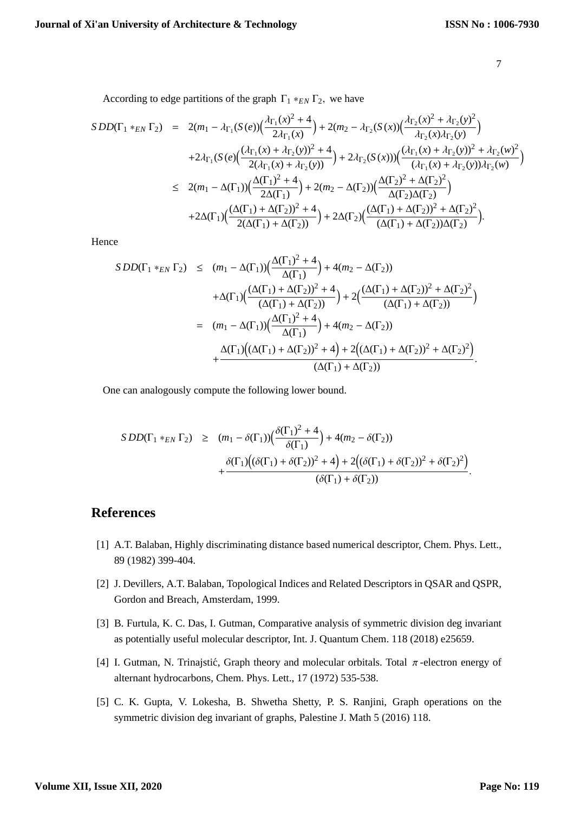According to edge partitions of the graph  $\Gamma_1 *_{EN} \Gamma_2$ , we have

$$
SDD(\Gamma_1 *_{EN} \Gamma_2) = 2(m_1 - \lambda_{\Gamma_1}(S(e))\left(\frac{\lambda_{\Gamma_1}(x)^2 + 4}{2\lambda_{\Gamma_1}(x)}\right) + 2(m_2 - \lambda_{\Gamma_2}(S(x))\left(\frac{\lambda_{\Gamma_2}(x)^2 + \lambda_{\Gamma_2}(y)^2}{\lambda_{\Gamma_2}(x)\lambda_{\Gamma_2}(y)}\right) + 2\lambda_{\Gamma_1}(S(e)\left(\frac{(\lambda_{\Gamma_1}(x) + \lambda_{\Gamma_2}(y))^2 + 4}{2(\lambda_{\Gamma_1}(x) + \lambda_{\Gamma_2}(y)})}\right) + 2\lambda_{\Gamma_2}(S(x)))\left(\frac{(\lambda_{\Gamma_1}(x) + \lambda_{\Gamma_2}(y))^2 + \lambda_{\Gamma_2}(w)^2}{(\lambda_{\Gamma_1}(x) + \lambda_{\Gamma_2}(y))\lambda_{\Gamma_2}(w)}\right) \n\leq 2(m_1 - \Delta(\Gamma_1))\left(\frac{\Delta(\Gamma_1)^2 + 4}{2\Delta(\Gamma_1)}\right) + 2(m_2 - \Delta(\Gamma_2))\left(\frac{\Delta(\Gamma_2)^2 + \Delta(\Gamma_2)^2}{\Delta(\Gamma_2)\Delta(\Gamma_2)}\right) + 2\Delta(\Gamma_1)\left(\frac{(\Delta(\Gamma_1) + \Delta(\Gamma_2))^2 + 4}{2(\Delta(\Gamma_1) + \Delta(\Gamma_2))}\right) + 2\Delta(\Gamma_2)\left(\frac{(\Delta(\Gamma_1) + \Delta(\Gamma_2))^2 + \Delta(\Gamma_2)^2}{(\Delta(\Gamma_1) + \Delta(\Gamma_2))\Delta(\Gamma_2)}\right).
$$

Hence

$$
SDD(\Gamma_1 *_{EN} \Gamma_2) \leq (m_1 - \Delta(\Gamma_1)) \Big( \frac{\Delta(\Gamma_1)^2 + 4}{\Delta(\Gamma_1)} \Big) + 4(m_2 - \Delta(\Gamma_2))
$$
  
+
$$
\Delta(\Gamma_1) \Big( \frac{(\Delta(\Gamma_1) + \Delta(\Gamma_2))^2 + 4}{(\Delta(\Gamma_1) + \Delta(\Gamma_2))} \Big) + 2 \Big( \frac{(\Delta(\Gamma_1) + \Delta(\Gamma_2))^2 + \Delta(\Gamma_2)^2}{(\Delta(\Gamma_1) + \Delta(\Gamma_2))} \Big)
$$
  
= 
$$
(m_1 - \Delta(\Gamma_1)) \Big( \frac{\Delta(\Gamma_1)^2 + 4}{\Delta(\Gamma_1)} \Big) + 4(m_2 - \Delta(\Gamma_2))
$$
  
+
$$
\frac{\Delta(\Gamma_1) \Big( (\Delta(\Gamma_1) + \Delta(\Gamma_2))^2 + 4 \Big) + 2 \Big( (\Delta(\Gamma_1) + \Delta(\Gamma_2))^2 + \Delta(\Gamma_2)^2 \Big)}{(\Delta(\Gamma_1) + \Delta(\Gamma_2))}.
$$

One can analogously compute the following lower bound.

$$
SDD(\Gamma_1 *_{EN} \Gamma_2) \ge (m_1 - \delta(\Gamma_1)) \Big( \frac{\delta(\Gamma_1)^2 + 4}{\delta(\Gamma_1)} \Big) + 4(m_2 - \delta(\Gamma_2)) + \frac{\delta(\Gamma_1) \Big( (\delta(\Gamma_1) + \delta(\Gamma_2))^2 + 4 \Big) + 2 \Big( (\delta(\Gamma_1) + \delta(\Gamma_2))^2 + \delta(\Gamma_2)^2 \Big)}{(\delta(\Gamma_1) + \delta(\Gamma_2))}.
$$

## **References**

- [1] A.T. Balaban, Highly discriminating distance based numerical descriptor, Chem. Phys. Lett., 89 (1982) 399-404.
- [2] J. Devillers, A.T. Balaban, Topological Indices and Related Descriptors in QSAR and QSPR, Gordon and Breach, Amsterdam, 1999.
- [3] B. Furtula, K. C. Das, I. Gutman, Comparative analysis of symmetric division deg invariant as potentially useful molecular descriptor, Int. J. Quantum Chem. 118 (2018) e25659.
- [4] I. Gutman, N. Trinajstić, Graph theory and molecular orbitals. Total  $\pi$ -electron energy of alternant hydrocarbons, Chem. Phys. Lett., 17 (1972) 535-538.
- [5] C. K. Gupta, V. Lokesha, B. Shwetha Shetty, P. S. Ranjini, Graph operations on the symmetric division deg invariant of graphs, Palestine J. Math 5 (2016) 118.